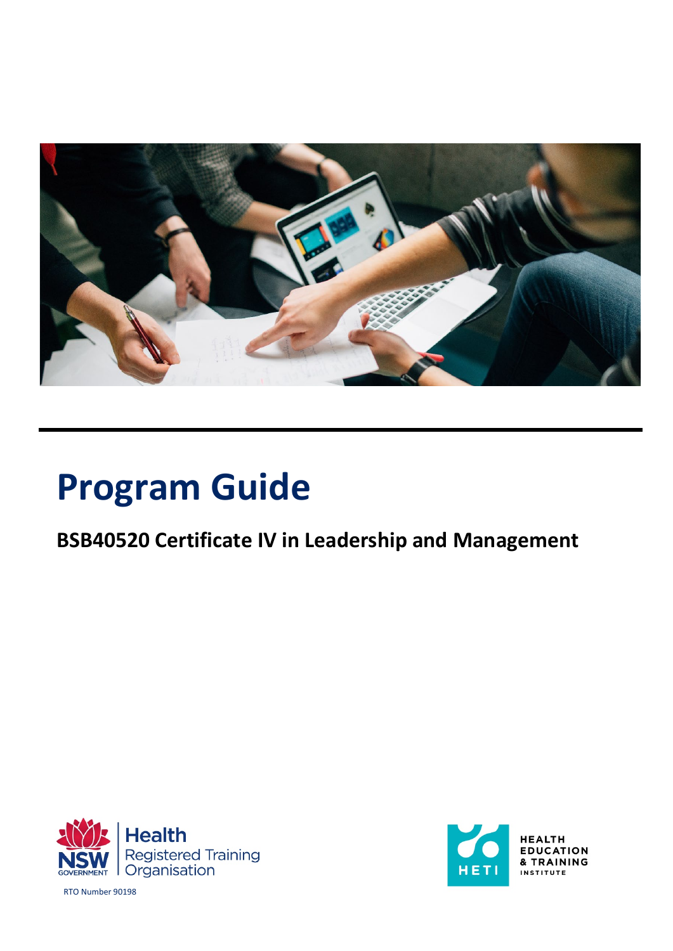

# **Program Guide**

# **BSB40520 Certificate IV in Leadership and Management**





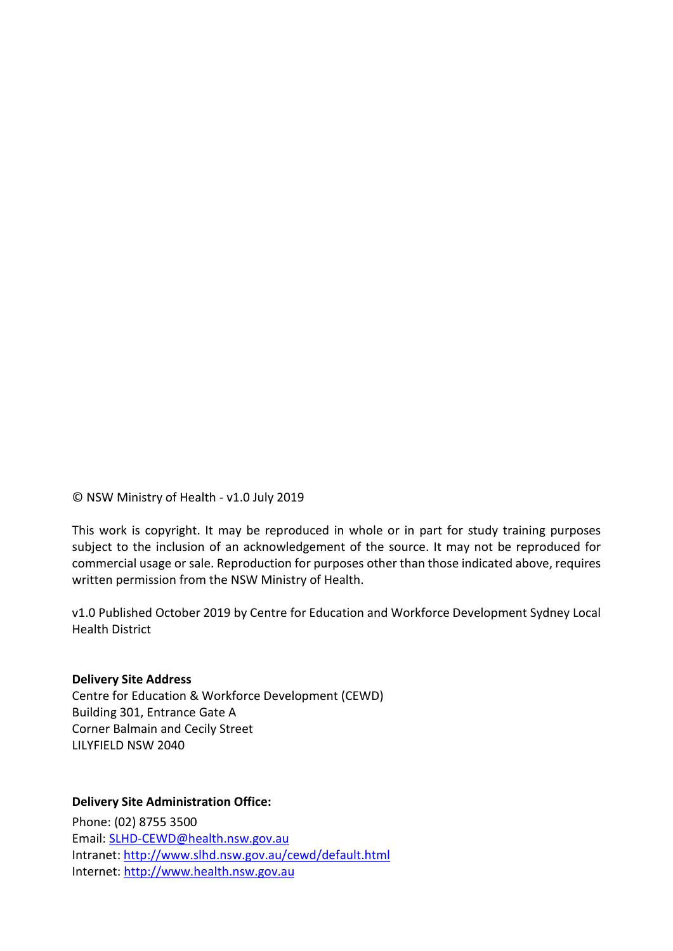© NSW Ministry of Health - v1.0 July 2019

This work is copyright. It may be reproduced in whole or in part for study training purposes subject to the inclusion of an acknowledgement of the source. It may not be reproduced for commercial usage or sale. Reproduction for purposes other than those indicated above, requires written permission from the NSW Ministry of Health.

v1.0 Published October 2019 by Centre for Education and Workforce Development Sydney Local Health District

#### **Delivery Site Address**

Centre for Education & Workforce Development (CEWD) Building 301, Entrance Gate A Corner Balmain and Cecily Street LILYFIELD NSW 2040

#### **Delivery Site Administration Office:**

Phone: (02) 8755 3500 Email: SLHD-CEWD@health.nsw.gov.au Intranet: <http://www.slhd.nsw.gov.au/cewd/default.html> Internet: [http://www.health.nsw.gov.au](http://www.health.nsw.gov.au/)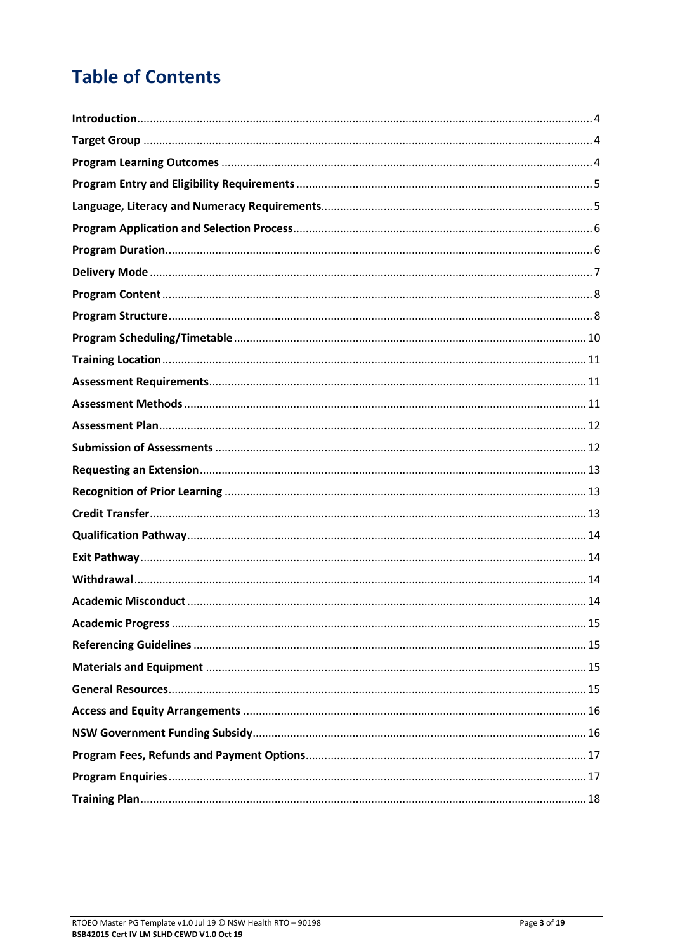# **Table of Contents**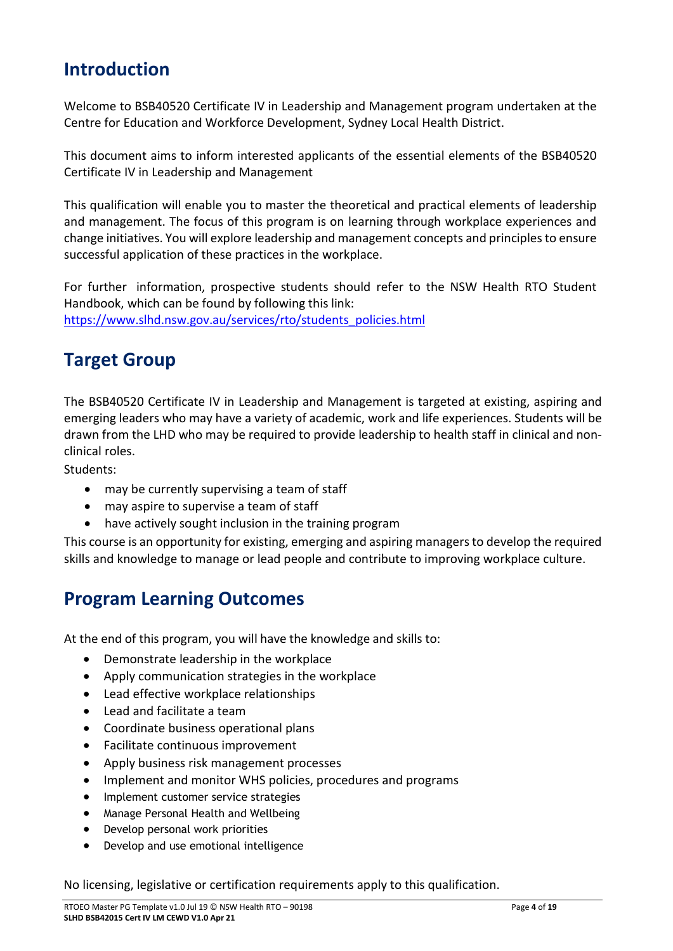### <span id="page-3-0"></span>**Introduction**

Welcome to BSB40520 Certificate IV in Leadership and Management program undertaken at the Centre for Education and Workforce Development, Sydney Local Health District.

This document aims to inform interested applicants of the essential elements of the BSB40520 Certificate IV in Leadership and Management

This qualification will enable you to master the theoretical and practical elements of leadership and management. The focus of this program is on learning through workplace experiences and change initiatives. You will explore leadership and management concepts and principles to ensure successful application of these practices in the workplace.

For further information, prospective students should refer to the NSW Health RTO Student Handbook, which can be found by following this link: [https://www.slhd.nsw.gov.au/services/rto/students\\_policies.html](https://www.slhd.nsw.gov.au/services/rto/students_policies.html)

### <span id="page-3-1"></span>**Target Group**

The BSB40520 Certificate IV in Leadership and Management is targeted at existing, aspiring and emerging leaders who may have a variety of academic, work and life experiences. Students will be drawn from the LHD who may be required to provide leadership to health staff in clinical and nonclinical roles.

Students:

- may be currently supervising a team of staff
- may aspire to supervise a team of staff
- have actively sought inclusion in the training program

This course is an opportunity for existing, emerging and aspiring managers to develop the required skills and knowledge to manage or lead people and contribute to improving workplace culture.

#### <span id="page-3-2"></span>**Program Learning Outcomes**

At the end of this program, you will have the knowledge and skills to:

- Demonstrate leadership in the workplace
- Apply communication strategies in the workplace
- Lead effective workplace relationships
- Lead and facilitate a team
- Coordinate business operational plans
- Facilitate continuous improvement
- Apply business risk management processes
- Implement and monitor WHS policies, procedures and programs
- Implement customer service strategies
- Manage Personal Health and Wellbeing
- Develop personal work priorities
- Develop and use emotional intelligence

No licensing, legislative or certification requirements apply to this qualification.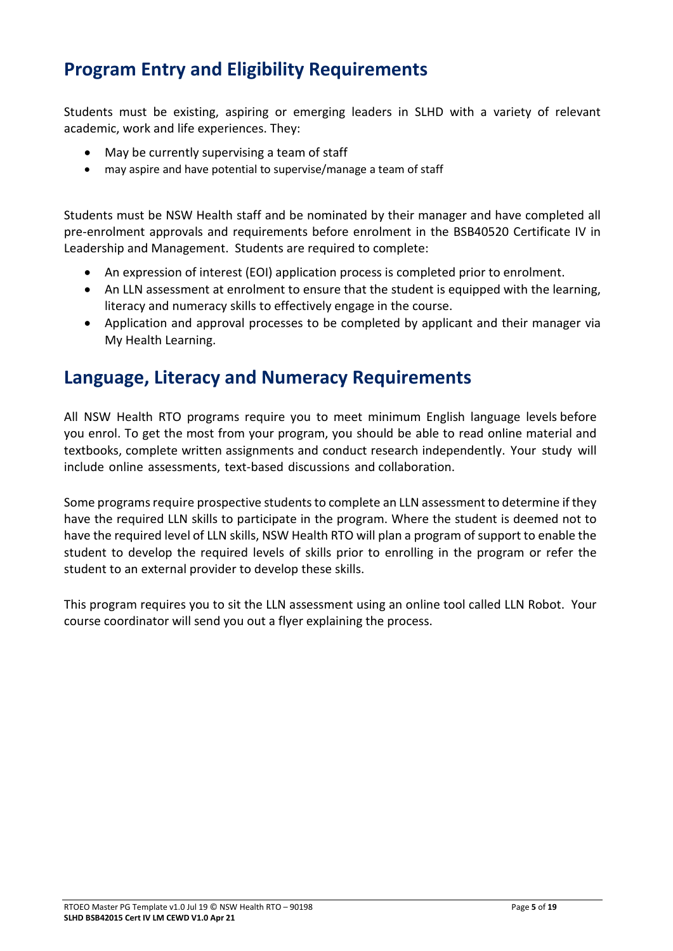### <span id="page-4-0"></span>**Program Entry and Eligibility Requirements**

Students must be existing, aspiring or emerging leaders in SLHD with a variety of relevant academic, work and life experiences. They:

- May be currently supervising a team of staff
- may aspire and have potential to supervise/manage a team of staff

Students must be NSW Health staff and be nominated by their manager and have completed all pre-enrolment approvals and requirements before enrolment in the BSB40520 Certificate IV in Leadership and Management. Students are required to complete:

- An expression of interest (EOI) application process is completed prior to enrolment.
- An LLN assessment at enrolment to ensure that the student is equipped with the learning, literacy and numeracy skills to effectively engage in the course.
- Application and approval processes to be completed by applicant and their manager via My Health Learning.

#### <span id="page-4-1"></span>**Language, Literacy and Numeracy Requirements**

All NSW Health RTO programs require you to meet minimum English language levels before you enrol. To get the most from your program, you should be able to read online material and textbooks, complete written assignments and conduct research independently. Your study will include online assessments, text-based discussions and collaboration.

Some programs require prospective students to complete an LLN assessment to determine if they have the required LLN skills to participate in the program. Where the student is deemed not to have the required level of LLN skills, NSW Health RTO will plan a program of support to enable the student to develop the required levels of skills prior to enrolling in the program or refer the student to an external provider to develop these skills.

This program requires you to sit the LLN assessment using an online tool called LLN Robot. Your course coordinator will send you out a flyer explaining the process.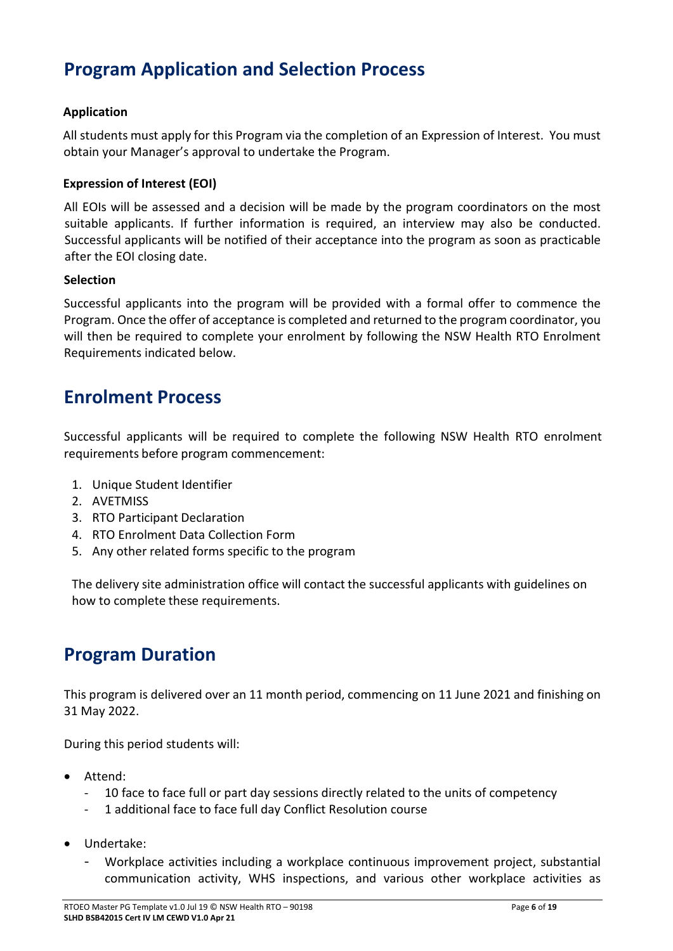### <span id="page-5-0"></span>**Program Application and Selection Process**

#### **Application**

All students must apply for this Program via the completion of an Expression of Interest. You must obtain your Manager's approval to undertake the Program.

#### **Expression of Interest (EOI)**

All EOIs will be assessed and a decision will be made by the program coordinators on the most suitable applicants. If further information is required, an interview may also be conducted. Successful applicants will be notified of their acceptance into the program as soon as practicable after the EOI closing date.

#### **Selection**

Successful applicants into the program will be provided with a formal offer to commence the Program. Once the offer of acceptance is completed and returned to the program coordinator, you will then be required to complete your enrolment by following the NSW Health RTO Enrolment Requirements indicated below.

#### **Enrolment Process**

Successful applicants will be required to complete the following NSW Health RTO enrolment requirements before program commencement:

- 1. Unique Student Identifier
- 2. AVETMISS
- 3. RTO Participant Declaration
- 4. RTO Enrolment Data Collection Form
- 5. Any other related forms specific to the program

The delivery site administration office will contact the successful applicants with guidelines on how to complete these requirements.

#### <span id="page-5-1"></span>**Program Duration**

This program is delivered over an 11 month period, commencing on 11 June 2021 and finishing on 31 May 2022.

During this period students will:

- Attend:
	- 10 face to face full or part day sessions directly related to the units of competency
	- 1 additional face to face full day Conflict Resolution course
- Undertake:
	- Workplace activities including a workplace continuous improvement project, substantial communication activity, WHS inspections, and various other workplace activities as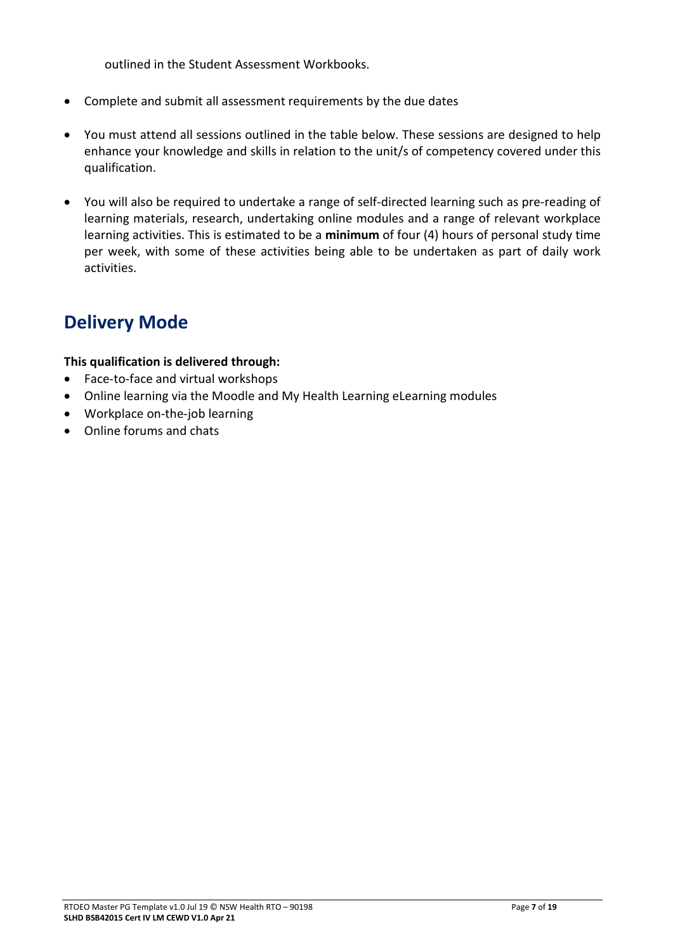outlined in the Student Assessment Workbooks.

- Complete and submit all assessment requirements by the due dates
- You must attend all sessions outlined in the table below. These sessions are designed to help enhance your knowledge and skills in relation to the unit/s of competency covered under this qualification.
- You will also be required to undertake a range of self-directed learning such as pre-reading of learning materials, research, undertaking online modules and a range of relevant workplace learning activities. This is estimated to be a **minimum** of four (4) hours of personal study time per week, with some of these activities being able to be undertaken as part of daily work activities.

### <span id="page-6-0"></span>**Delivery Mode**

#### **This qualification is delivered through:**

- Face-to-face and virtual workshops
- Online learning via the Moodle and My Health Learning eLearning modules
- Workplace on-the-job learning
- Online forums and chats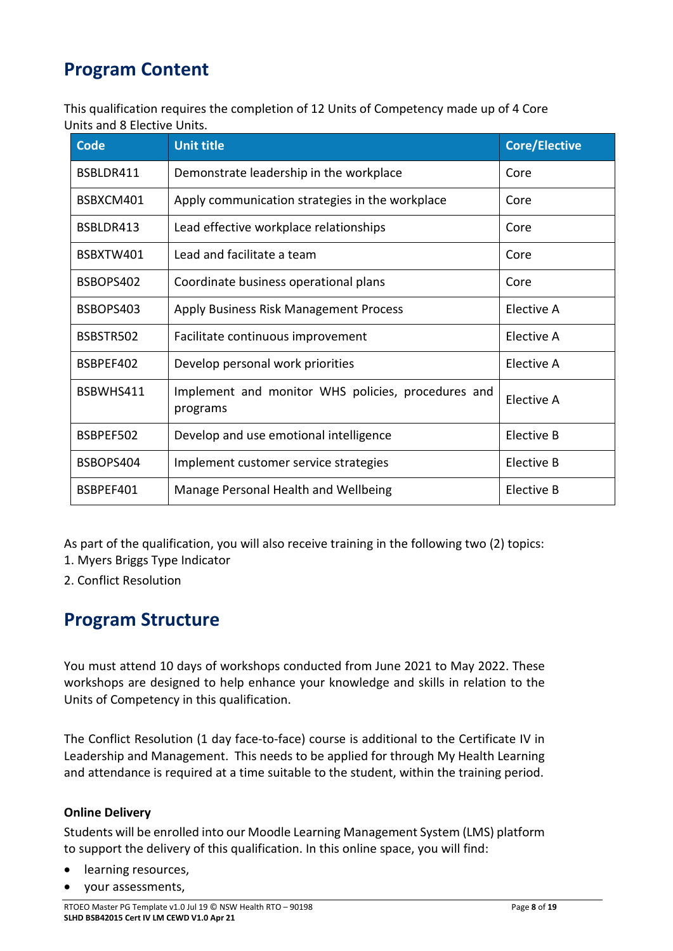### <span id="page-7-0"></span>**Program Content**

This qualification requires the completion of 12 Units of Competency made up of 4 Core Units and 8 Elective Units.

| <b>Code</b> | <b>Unit title</b>                                              | <b>Core/Elective</b> |
|-------------|----------------------------------------------------------------|----------------------|
| BSBLDR411   | Demonstrate leadership in the workplace                        | Core                 |
| BSBXCM401   | Apply communication strategies in the workplace                | Core                 |
| BSBLDR413   | Lead effective workplace relationships                         | Core                 |
| BSBXTW401   | Lead and facilitate a team                                     | Core                 |
| BSBOPS402   | Coordinate business operational plans                          | Core                 |
| BSBOPS403   | Apply Business Risk Management Process                         | Elective A           |
| BSBSTR502   | Facilitate continuous improvement                              | Elective A           |
| BSBPEF402   | Develop personal work priorities                               | Elective A           |
| BSBWHS411   | Implement and monitor WHS policies, procedures and<br>programs | Elective A           |
| BSBPEF502   | Develop and use emotional intelligence                         | Elective B           |
| BSBOPS404   | Implement customer service strategies                          | Elective B           |
| BSBPEF401   | Manage Personal Health and Wellbeing                           | Elective B           |

As part of the qualification, you will also receive training in the following two (2) topics:

- 1. Myers Briggs Type Indicator
- 2. Conflict Resolution

#### <span id="page-7-1"></span>**Program Structure**

You must attend 10 days of workshops conducted from June 2021 to May 2022. These workshops are designed to help enhance your knowledge and skills in relation to the Units of Competency in this qualification.

The Conflict Resolution (1 day face-to-face) course is additional to the Certificate IV in Leadership and Management. This needs to be applied for through My Health Learning and attendance is required at a time suitable to the student, within the training period.

#### **Online Delivery**

Students will be enrolled into our Moodle Learning Management System (LMS) platform to support the delivery of this qualification. In this online space, you will find:

- learning resources,
- your assessments,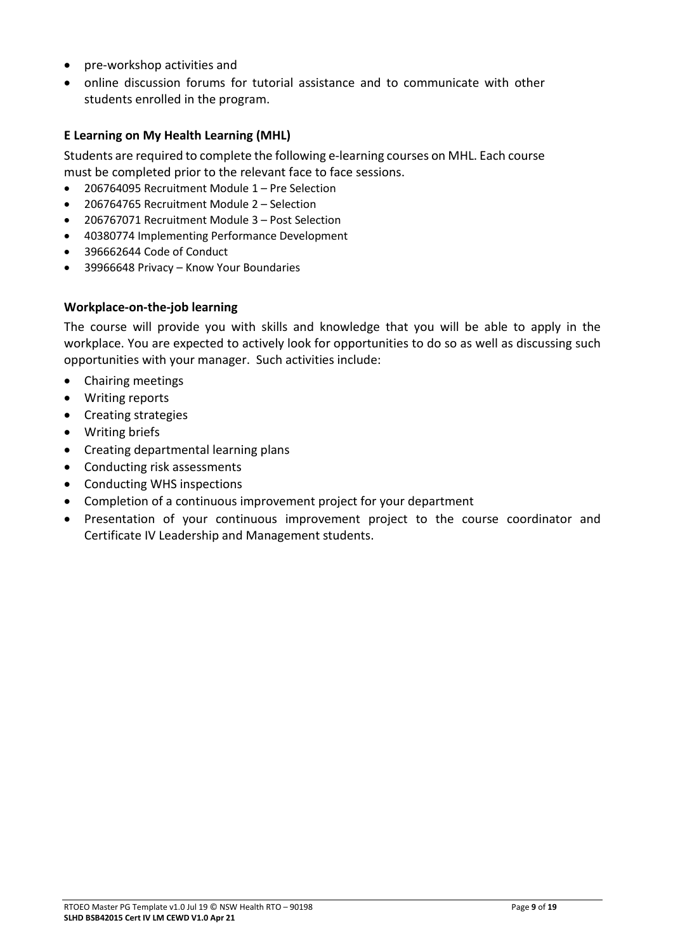- pre-workshop activities and
- online discussion forums for tutorial assistance and to communicate with other students enrolled in the program.

#### **E Learning on My Health Learning (MHL)**

Students are required to complete the following e-learning courses on MHL. Each course must be completed prior to the relevant face to face sessions.

- 206764095 Recruitment Module 1 Pre Selection
- 206764765 Recruitment Module 2 Selection
- 206767071 Recruitment Module 3 Post Selection
- 40380774 Implementing Performance Development
- 396662644 Code of Conduct
- 39966648 Privacy Know Your Boundaries

#### **Workplace-on-the-job learning**

The course will provide you with skills and knowledge that you will be able to apply in the workplace. You are expected to actively look for opportunities to do so as well as discussing such opportunities with your manager. Such activities include:

- Chairing meetings
- Writing reports
- Creating strategies
- Writing briefs
- Creating departmental learning plans
- Conducting risk assessments
- Conducting WHS inspections
- Completion of a continuous improvement project for your department
- Presentation of your continuous improvement project to the course coordinator and Certificate IV Leadership and Management students.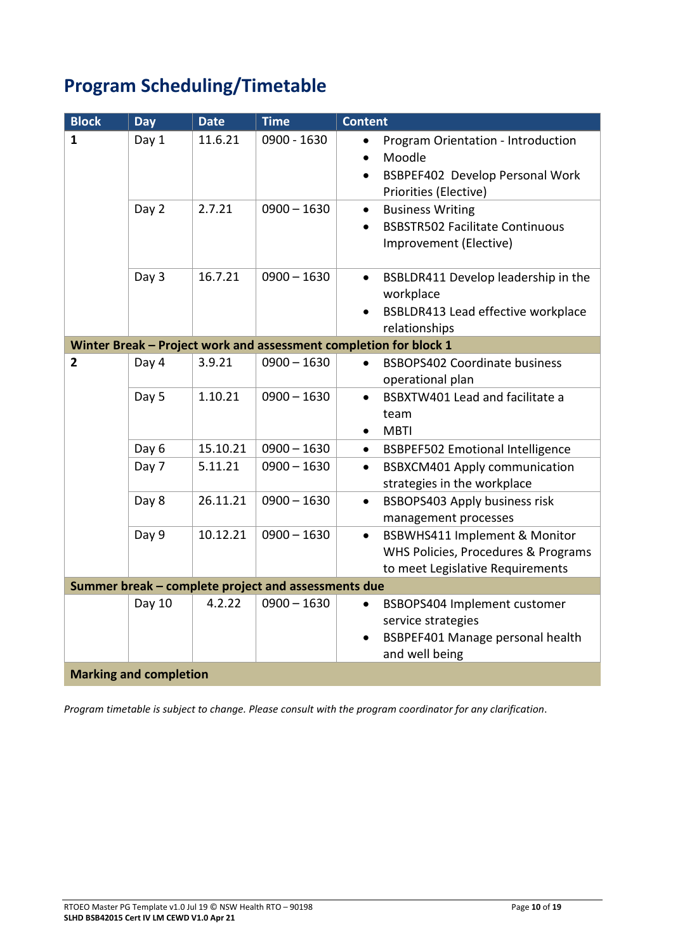# <span id="page-9-0"></span>**Program Scheduling/Timetable**

| <b>Block</b>   | <b>Day</b>                    | <b>Date</b> | <b>Time</b>                                         | <b>Content</b>                                                                                                                                  |
|----------------|-------------------------------|-------------|-----------------------------------------------------|-------------------------------------------------------------------------------------------------------------------------------------------------|
| 1              | Day 1                         | 11.6.21     | 0900 - 1630                                         | Program Orientation - Introduction<br>$\bullet$<br>Moodle<br>$\bullet$<br>BSBPEF402 Develop Personal Work<br>$\bullet$<br>Priorities (Elective) |
|                | Day 2                         | 2.7.21      | $0900 - 1630$                                       | <b>Business Writing</b><br>$\bullet$<br><b>BSBSTR502 Facilitate Continuous</b><br>Improvement (Elective)                                        |
|                | Day 3                         | 16.7.21     | $0900 - 1630$                                       | BSBLDR411 Develop leadership in the<br>$\bullet$<br>workplace<br>BSBLDR413 Lead effective workplace<br>relationships                            |
|                |                               |             |                                                     | Winter Break - Project work and assessment completion for block 1                                                                               |
| $\overline{2}$ | Day 4                         | 3.9.21      | $0900 - 1630$                                       | <b>BSBOPS402 Coordinate business</b><br>operational plan                                                                                        |
|                | Day 5                         | 1.10.21     | $0900 - 1630$                                       | BSBXTW401 Lead and facilitate a<br>$\bullet$<br>team<br><b>MBTI</b><br>$\bullet$                                                                |
|                | Day 6                         | 15.10.21    | $0900 - 1630$                                       | <b>BSBPEF502 Emotional Intelligence</b><br>$\bullet$                                                                                            |
|                | Day 7                         | 5.11.21     | $0900 - 1630$                                       | <b>BSBXCM401 Apply communication</b><br>$\bullet$<br>strategies in the workplace                                                                |
|                | Day 8                         | 26.11.21    | $0900 - 1630$                                       | BSBOPS403 Apply business risk<br>$\bullet$<br>management processes                                                                              |
|                | Day 9                         | 10.12.21    | $0900 - 1630$                                       | BSBWHS411 Implement & Monitor<br>$\bullet$<br>WHS Policies, Procedures & Programs<br>to meet Legislative Requirements                           |
|                |                               |             | Summer break - complete project and assessments due |                                                                                                                                                 |
|                | Day 10                        | 4.2.22      | $0900 - 1630$                                       | BSBOPS404 Implement customer<br>service strategies<br>BSBPEF401 Manage personal health<br>$\bullet$<br>and well being                           |
|                | <b>Marking and completion</b> |             |                                                     |                                                                                                                                                 |

*Program timetable is subject to change. Please consult with the program coordinator for any clarification*.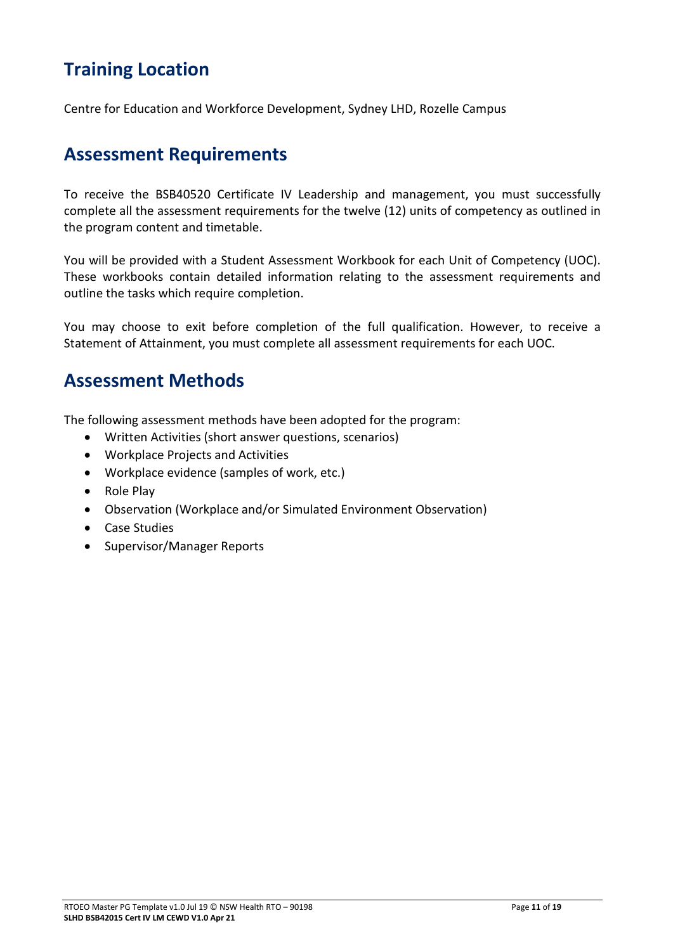### <span id="page-10-0"></span>**Training Location**

Centre for Education and Workforce Development, Sydney LHD, Rozelle Campus

#### <span id="page-10-1"></span>**Assessment Requirements**

To receive the BSB40520 Certificate IV Leadership and management, you must successfully complete all the assessment requirements for the twelve (12) units of competency as outlined in the program content and timetable.

You will be provided with a Student Assessment Workbook for each Unit of Competency (UOC). These workbooks contain detailed information relating to the assessment requirements and outline the tasks which require completion.

You may choose to exit before completion of the full qualification. However, to receive a Statement of Attainment, you must complete all assessment requirements for each UOC.

#### <span id="page-10-2"></span>**Assessment Methods**

The following assessment methods have been adopted for the program:

- Written Activities (short answer questions, scenarios)
- Workplace Projects and Activities
- Workplace evidence (samples of work, etc.)
- Role Play
- Observation (Workplace and/or Simulated Environment Observation)
- Case Studies
- Supervisor/Manager Reports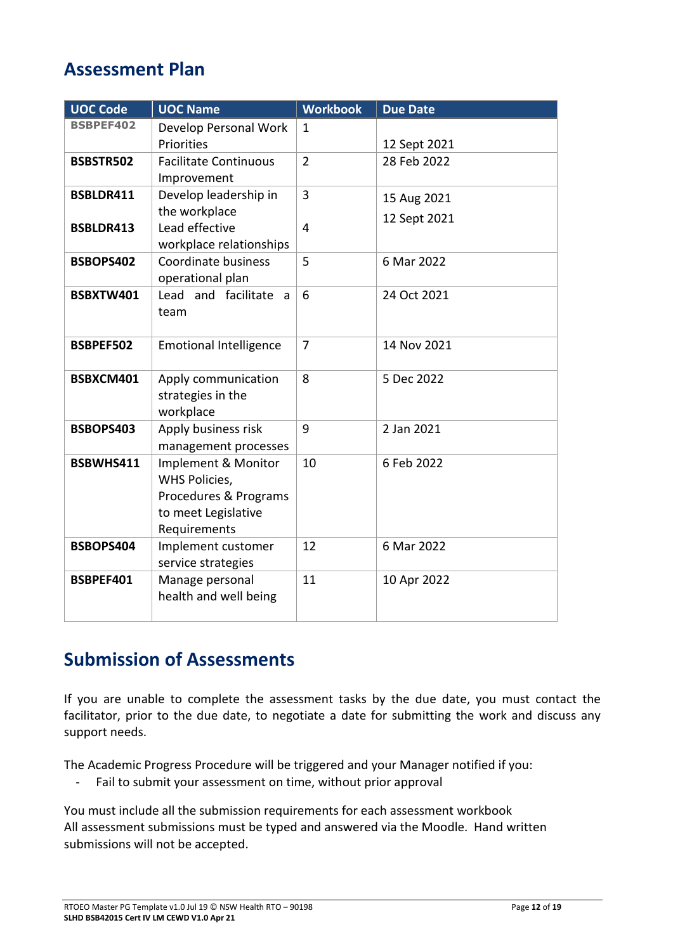#### <span id="page-11-0"></span>**Assessment Plan**

| <b>UOC Code</b>  | <b>UOC Name</b>                         | <b>Workbook</b> | <b>Due Date</b> |
|------------------|-----------------------------------------|-----------------|-----------------|
| <b>BSBPEF402</b> | Develop Personal Work                   | $\mathbf{1}$    |                 |
|                  | Priorities                              |                 | 12 Sept 2021    |
| <b>BSBSTR502</b> | <b>Facilitate Continuous</b>            | $\overline{2}$  | 28 Feb 2022     |
|                  | Improvement                             |                 |                 |
| BSBLDR411        | Develop leadership in                   | 3               | 15 Aug 2021     |
|                  | the workplace                           |                 | 12 Sept 2021    |
| BSBLDR413        | Lead effective                          | $\overline{4}$  |                 |
|                  | workplace relationships                 |                 |                 |
| BSBOPS402        | Coordinate business<br>operational plan | 5               | 6 Mar 2022      |
| BSBXTW401        | Lead and facilitate a                   | 6               | 24 Oct 2021     |
|                  | team                                    |                 |                 |
|                  |                                         |                 |                 |
| BSBPEF502        | <b>Emotional Intelligence</b>           | $\overline{7}$  | 14 Nov 2021     |
|                  |                                         |                 |                 |
| BSBXCM401        | Apply communication                     | 8               | 5 Dec 2022      |
|                  | strategies in the                       |                 |                 |
| BSBOPS403        | workplace<br>Apply business risk        | 9               | 2 Jan 2021      |
|                  | management processes                    |                 |                 |
| BSBWHS411        | Implement & Monitor                     | 10              | 6 Feb 2022      |
|                  | WHS Policies,                           |                 |                 |
|                  | Procedures & Programs                   |                 |                 |
|                  | to meet Legislative                     |                 |                 |
|                  | Requirements                            |                 |                 |
| BSBOPS404        | Implement customer                      | 12              | 6 Mar 2022      |
|                  | service strategies                      |                 |                 |
| BSBPEF401        | Manage personal                         | 11              | 10 Apr 2022     |
|                  | health and well being                   |                 |                 |
|                  |                                         |                 |                 |

### <span id="page-11-1"></span>**Submission of Assessments**

If you are unable to complete the assessment tasks by the due date, you must contact the facilitator, prior to the due date, to negotiate a date for submitting the work and discuss any support needs.

The Academic Progress Procedure will be triggered and your Manager notified if you:

- Fail to submit your assessment on time, without prior approval

You must include all the submission requirements for each assessment workbook All assessment submissions must be typed and answered via the Moodle. Hand written submissions will not be accepted.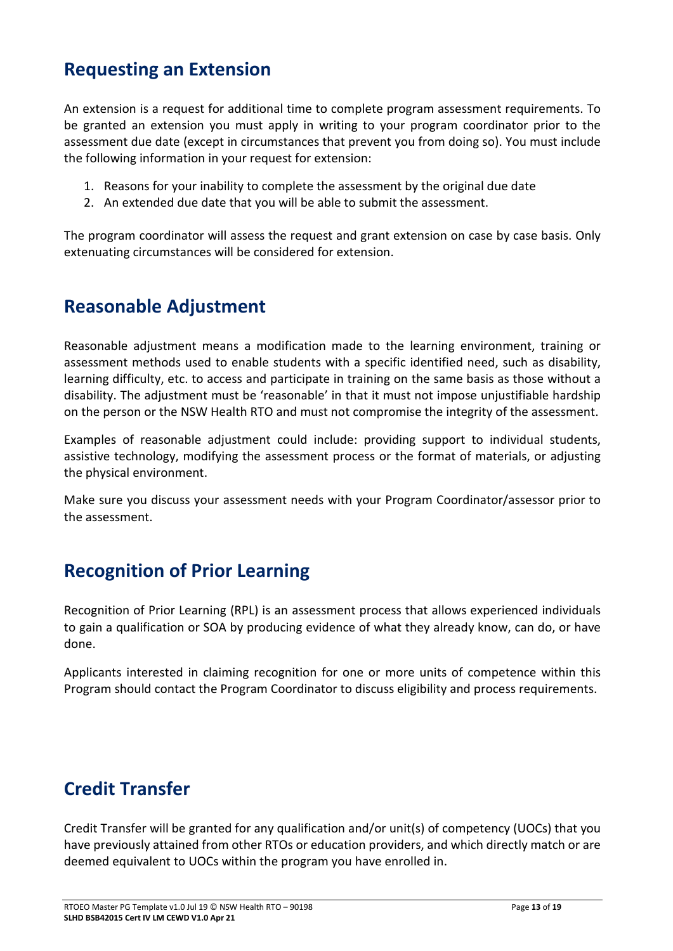#### <span id="page-12-0"></span>**Requesting an Extension**

An extension is a request for additional time to complete program assessment requirements. To be granted an extension you must apply in writing to your program coordinator prior to the assessment due date (except in circumstances that prevent you from doing so). You must include the following information in your request for extension:

- 1. Reasons for your inability to complete the assessment by the original due date
- 2. An extended due date that you will be able to submit the assessment.

The program coordinator will assess the request and grant extension on case by case basis. Only extenuating circumstances will be considered for extension.

#### **Reasonable Adjustment**

Reasonable adjustment means a modification made to the learning environment, training or assessment methods used to enable students with a specific identified need, such as disability, learning difficulty, etc. to access and participate in training on the same basis as those without a disability. The adjustment must be 'reasonable' in that it must not impose unjustifiable hardship on the person or the NSW Health RTO and must not compromise the integrity of the assessment.

Examples of reasonable adjustment could include: providing support to individual students, assistive technology, modifying the assessment process or the format of materials, or adjusting the physical environment.

Make sure you discuss your assessment needs with your Program Coordinator/assessor prior to the assessment.

### <span id="page-12-1"></span>**Recognition of Prior Learning**

Recognition of Prior Learning (RPL) is an assessment process that allows experienced individuals to gain a qualification or SOA by producing evidence of what they already know, can do, or have done.

Applicants interested in claiming recognition for one or more units of competence within this Program should contact the Program Coordinator to discuss eligibility and process requirements.

#### <span id="page-12-2"></span>**Credit Transfer**

Credit Transfer will be granted for any qualification and/or unit(s) of competency (UOCs) that you have previously attained from other RTOs or education providers, and which directly match or are deemed equivalent to UOCs within the program you have enrolled in.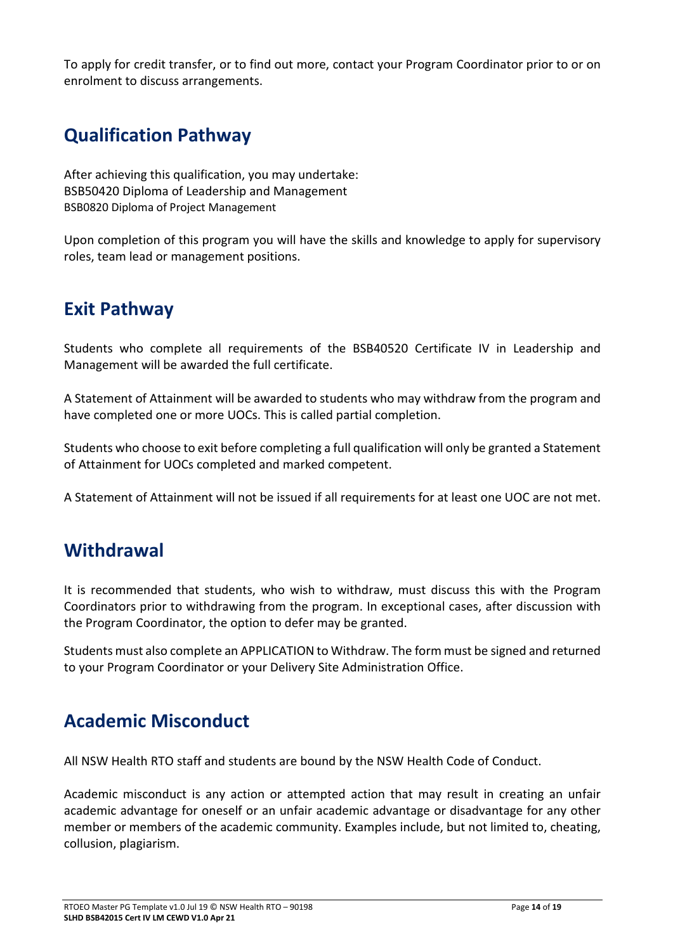To apply for credit transfer, or to find out more, contact your Program Coordinator prior to or on enrolment to discuss arrangements.

### <span id="page-13-0"></span>**Qualification Pathway**

After achieving this qualification, you may undertake: BSB50420 Diploma of Leadership and Management BSB0820 Diploma of Project Management

Upon completion of this program you will have the skills and knowledge to apply for supervisory roles, team lead or management positions.

### <span id="page-13-1"></span>**Exit Pathway**

Students who complete all requirements of the BSB40520 Certificate IV in Leadership and Management will be awarded the full certificate.

A Statement of Attainment will be awarded to students who may withdraw from the program and have completed one or more UOCs. This is called partial completion.

Students who choose to exit before completing a full qualification will only be granted a Statement of Attainment for UOCs completed and marked competent.

A Statement of Attainment will not be issued if all requirements for at least one UOC are not met.

#### <span id="page-13-2"></span>**Withdrawal**

It is recommended that students, who wish to withdraw, must discuss this with the Program Coordinators prior to withdrawing from the program. In exceptional cases, after discussion with the Program Coordinator, the option to defer may be granted.

Students must also complete an APPLICATION to Withdraw. The form must be signed and returned to your Program Coordinator or your Delivery Site Administration Office.

#### <span id="page-13-3"></span>**Academic Misconduct**

All NSW Health RTO staff and students are bound by the NSW Health Code of Conduct.

Academic misconduct is any action or attempted action that may result in creating an unfair academic advantage for oneself or an unfair academic advantage or disadvantage for any other member or members of the academic community. Examples include, but not limited to, cheating, collusion, plagiarism.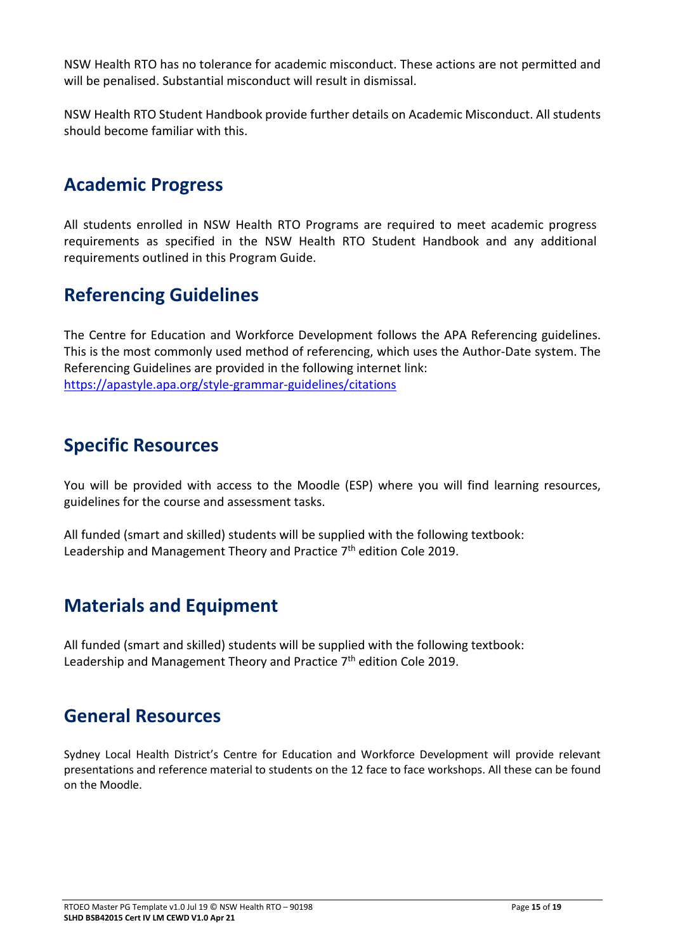NSW Health RTO has no tolerance for academic misconduct. These actions are not permitted and will be penalised. Substantial misconduct will result in dismissal.

NSW Health RTO Student Handbook provide further details on Academic Misconduct. All students should become familiar with this.

#### <span id="page-14-0"></span>**Academic Progress**

All students enrolled in NSW Health RTO Programs are required to meet academic progress requirements as specified in the NSW Health RTO Student Handbook and any additional requirements outlined in this Program Guide.

#### <span id="page-14-1"></span>**Referencing Guidelines**

The Centre for Education and Workforce Development follows the APA Referencing guidelines. This is the most commonly used method of referencing, which uses the Author-Date system. The Referencing Guidelines are provided in the following internet link: <https://apastyle.apa.org/style-grammar-guidelines/citations>

#### **Specific Resources**

You will be provided with access to the Moodle (ESP) where you will find learning resources, guidelines for the course and assessment tasks.

All funded (smart and skilled) students will be supplied with the following textbook: Leadership and Management Theory and Practice  $7<sup>th</sup>$  edition Cole 2019.

#### <span id="page-14-2"></span>**Materials and Equipment**

All funded (smart and skilled) students will be supplied with the following textbook: Leadership and Management Theory and Practice 7<sup>th</sup> edition Cole 2019.

#### <span id="page-14-3"></span>**General Resources**

Sydney Local Health District's Centre for Education and Workforce Development will provide relevant presentations and reference material to students on the 12 face to face workshops. All these can be found on the Moodle.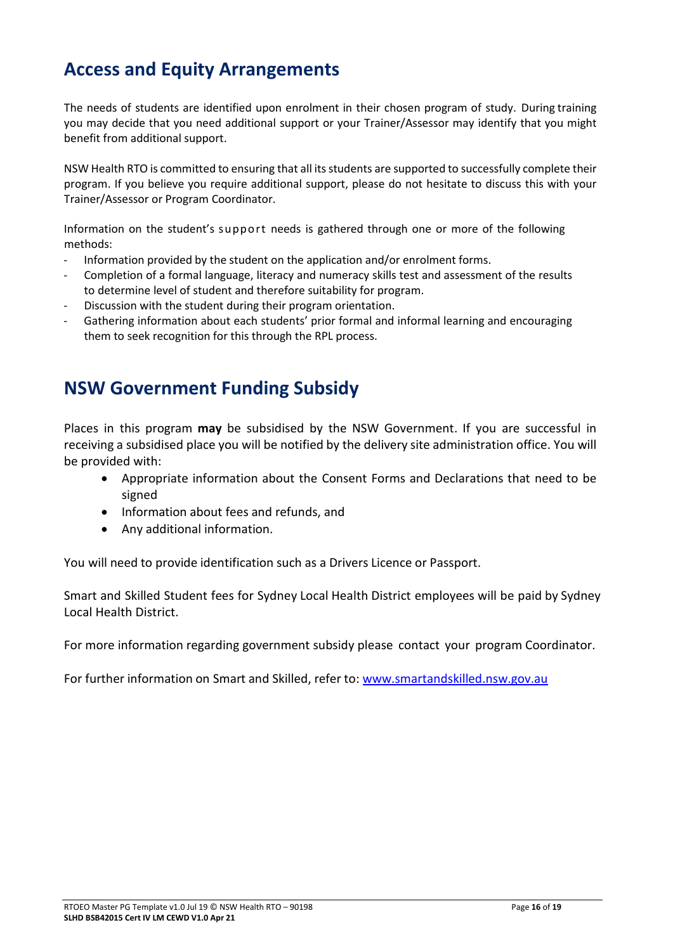### <span id="page-15-0"></span>**Access and Equity Arrangements**

The needs of students are identified upon enrolment in their chosen program of study. During training you may decide that you need additional support or your Trainer/Assessor may identify that you might benefit from additional support.

NSW Health RTO is committed to ensuring that all its students are supported to successfully complete their program. If you believe you require additional support, please do not hesitate to discuss this with your Trainer/Assessor or Program Coordinator.

Information on the student's support needs is gathered through one or more of the following methods:

- Information provided by the student on the application and/or enrolment forms.
- Completion of a formal language, literacy and numeracy skills test and assessment of the results to determine level of student and therefore suitability for program.
- Discussion with the student during their program orientation.
- Gathering information about each students' prior formal and informal learning and encouraging them to seek recognition for this through the RPL process.

#### <span id="page-15-1"></span>**NSW Government Funding Subsidy**

Places in this program **may** be subsidised by the NSW Government. If you are successful in receiving a subsidised place you will be notified by the delivery site administration office. You will be provided with:

- Appropriate information about the Consent Forms and Declarations that need to be signed
- Information about fees and refunds, and
- Any additional information.

You will need to provide identification such as a Drivers Licence or Passport.

Smart and Skilled Student fees for Sydney Local Health District employees will be paid by Sydney Local Health District.

For more information regarding government subsidy please contact your program Coordinator.

For further information on Smart and Skilled, refer to: [www.smartandskilled.nsw.gov.au](http://www.smartandskilled.nsw.gov.au/)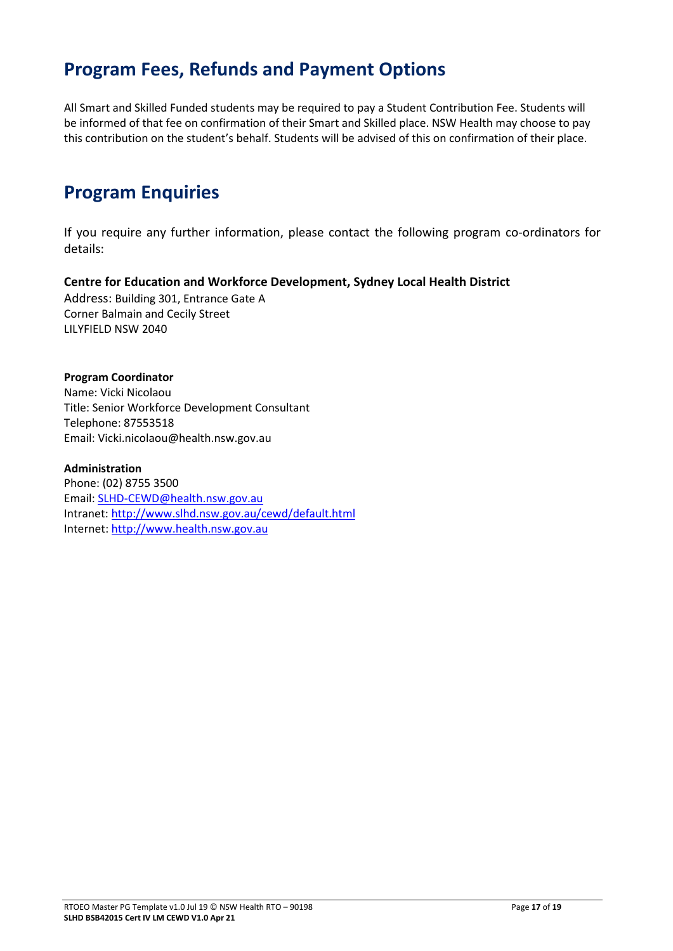#### <span id="page-16-0"></span>**Program Fees, Refunds and Payment Options**

All Smart and Skilled Funded students may be required to pay a Student Contribution Fee. Students will be informed of that fee on confirmation of their Smart and Skilled place. NSW Health may choose to pay this contribution on the student's behalf. Students will be advised of this on confirmation of their place.

### <span id="page-16-1"></span>**Program Enquiries**

If you require any further information, please contact the following program co-ordinators for details:

**Centre for Education and Workforce Development, Sydney Local Health District** Address: Building 301, Entrance Gate A Corner Balmain and Cecily Street LILYFIELD NSW 2040

#### **Program Coordinator** Name: Vicki Nicolaou Title: Senior Workforce Development Consultant Telephone: 87553518 Email: Vicki.nicolaou@health.nsw.gov.au

**Administration** Phone: (02) 8755 3500 Email: SLHD-CEWD@health.nsw.gov.au Intranet: <http://www.slhd.nsw.gov.au/cewd/default.html> Internet: [http://www.health.nsw.gov.au](http://www.health.nsw.gov.au/)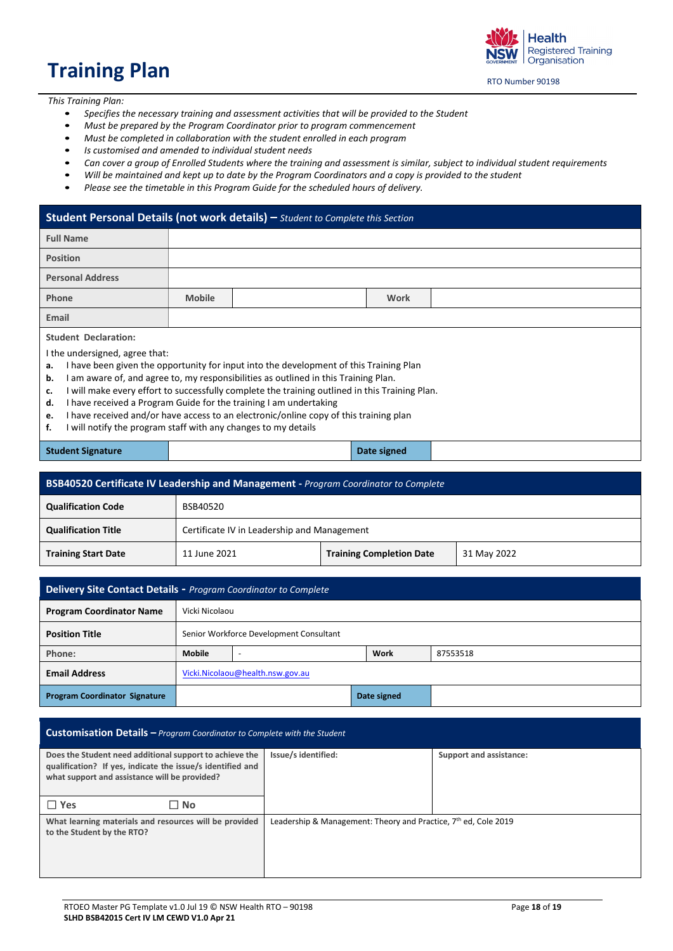# <span id="page-17-0"></span>**Training Plan**

Health **Registered Training** Organisation

RTO Number 90198

*This Training Plan:*

- *Specifies the necessary training and assessment activities that will be provided to the Student*
- *Must be prepared by the Program Coordinator prior to program commencement*
- *Must be completed in collaboration with the student enrolled in each program*
- *Is customised and amended to individual student needs*
- *Can cover a group of Enrolled Students where the training and assessment is similar, subject to individual student requirements*
- *Will be maintained and kept up to date by the Program Coordinators and a copy is provided to the student*
- *Please see the timetable in this Program Guide for the scheduled hours of delivery.*

#### **Student Personal Details (not work details) –** *Student to Complete this Section*

| <b>Full Name</b>                                                |                                                                                                                                                                                                                                                                                                                                                                                                                                                                                                                                                   |  |             |  |  |  |
|-----------------------------------------------------------------|---------------------------------------------------------------------------------------------------------------------------------------------------------------------------------------------------------------------------------------------------------------------------------------------------------------------------------------------------------------------------------------------------------------------------------------------------------------------------------------------------------------------------------------------------|--|-------------|--|--|--|
| <b>Position</b>                                                 |                                                                                                                                                                                                                                                                                                                                                                                                                                                                                                                                                   |  |             |  |  |  |
| <b>Personal Address</b>                                         |                                                                                                                                                                                                                                                                                                                                                                                                                                                                                                                                                   |  |             |  |  |  |
| Phone                                                           | <b>Mobile</b>                                                                                                                                                                                                                                                                                                                                                                                                                                                                                                                                     |  | <b>Work</b> |  |  |  |
| Email                                                           |                                                                                                                                                                                                                                                                                                                                                                                                                                                                                                                                                   |  |             |  |  |  |
| <b>Student Declaration:</b><br>a.<br>b.<br>c.<br>d.<br>e.<br>f. | I the undersigned, agree that:<br>I have been given the opportunity for input into the development of this Training Plan<br>I am aware of, and agree to, my responsibilities as outlined in this Training Plan.<br>I will make every effort to successfully complete the training outlined in this Training Plan.<br>I have received a Program Guide for the training I am undertaking<br>I have received and/or have access to an electronic/online copy of this training plan<br>I will notify the program staff with any changes to my details |  |             |  |  |  |

#### **Student Signature Date signed**

| BSB40520 Certificate IV Leadership and Management - Program Coordinator to Complete |                                                                |  |  |  |  |  |
|-------------------------------------------------------------------------------------|----------------------------------------------------------------|--|--|--|--|--|
| <b>Qualification Code</b>                                                           | BSB40520                                                       |  |  |  |  |  |
| <b>Qualification Title</b>                                                          | Certificate IV in Leadership and Management                    |  |  |  |  |  |
| <b>Training Start Date</b>                                                          | <b>Training Completion Date</b><br>11 June 2021<br>31 May 2022 |  |  |  |  |  |
|                                                                                     |                                                                |  |  |  |  |  |

| <b>Delivery Site Contact Details - Program Coordinator to Complete</b> |                                                               |                                         |  |  |  |  |  |
|------------------------------------------------------------------------|---------------------------------------------------------------|-----------------------------------------|--|--|--|--|--|
| <b>Program Coordinator Name</b>                                        | Vicki Nicolaou                                                |                                         |  |  |  |  |  |
| <b>Position Title</b>                                                  |                                                               | Senior Workforce Development Consultant |  |  |  |  |  |
| Phone:                                                                 | <b>Mobile</b><br>Work<br>87553518<br>$\overline{\phantom{a}}$ |                                         |  |  |  |  |  |
| <b>Email Address</b>                                                   |                                                               | Vicki.Nicolaou@health.nsw.gov.au        |  |  |  |  |  |
| <b>Program Coordinator Signature</b>                                   | Date signed                                                   |                                         |  |  |  |  |  |

| <b>Customisation Details - Program Coordinator to Complete with the Student</b>                                                                                        |                                                                             |                         |  |  |  |  |  |
|------------------------------------------------------------------------------------------------------------------------------------------------------------------------|-----------------------------------------------------------------------------|-------------------------|--|--|--|--|--|
| Does the Student need additional support to achieve the<br>qualification? If yes, indicate the issue/s identified and<br>what support and assistance will be provided? | Issue/s identified:                                                         | Support and assistance: |  |  |  |  |  |
| $\Box$ Yes<br>$\Box$ No                                                                                                                                                |                                                                             |                         |  |  |  |  |  |
| What learning materials and resources will be provided<br>to the Student by the RTO?                                                                                   | Leadership & Management: Theory and Practice, 7 <sup>th</sup> ed, Cole 2019 |                         |  |  |  |  |  |